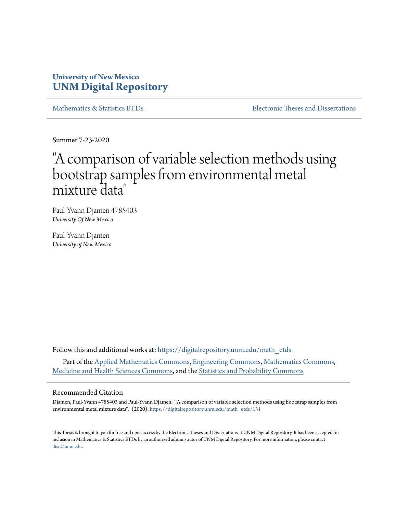## **University of New Mexico [UNM Digital Repository](https://digitalrepository.unm.edu?utm_source=digitalrepository.unm.edu%2Fmath_etds%2F131&utm_medium=PDF&utm_campaign=PDFCoverPages)**

[Mathematics & Statistics ETDs](https://digitalrepository.unm.edu/math_etds?utm_source=digitalrepository.unm.edu%2Fmath_etds%2F131&utm_medium=PDF&utm_campaign=PDFCoverPages) [Electronic Theses and Dissertations](https://digitalrepository.unm.edu/etds?utm_source=digitalrepository.unm.edu%2Fmath_etds%2F131&utm_medium=PDF&utm_campaign=PDFCoverPages)

Summer 7-23-2020

# "A comparison of variable selection methods using bootstrap samples from environmental metal mixture data "

Paul-Yvann Djamen 4785403 *University Of New Mexico*

Paul-Yvann Djamen *University of New Mexico*

Follow this and additional works at: [https://digitalrepository.unm.edu/math\\_etds](https://digitalrepository.unm.edu/math_etds?utm_source=digitalrepository.unm.edu%2Fmath_etds%2F131&utm_medium=PDF&utm_campaign=PDFCoverPages) Part of the [Applied Mathematics Commons](http://network.bepress.com/hgg/discipline/115?utm_source=digitalrepository.unm.edu%2Fmath_etds%2F131&utm_medium=PDF&utm_campaign=PDFCoverPages), [Engineering Commons,](http://network.bepress.com/hgg/discipline/217?utm_source=digitalrepository.unm.edu%2Fmath_etds%2F131&utm_medium=PDF&utm_campaign=PDFCoverPages) [Mathematics Commons](http://network.bepress.com/hgg/discipline/174?utm_source=digitalrepository.unm.edu%2Fmath_etds%2F131&utm_medium=PDF&utm_campaign=PDFCoverPages), [Medicine and Health Sciences Commons](http://network.bepress.com/hgg/discipline/648?utm_source=digitalrepository.unm.edu%2Fmath_etds%2F131&utm_medium=PDF&utm_campaign=PDFCoverPages), and the [Statistics and Probability Commons](http://network.bepress.com/hgg/discipline/208?utm_source=digitalrepository.unm.edu%2Fmath_etds%2F131&utm_medium=PDF&utm_campaign=PDFCoverPages)

### Recommended Citation

Djamen, Paul-Yvann 4785403 and Paul-Yvann Djamen. ""A comparison of variable selection methods using bootstrap samples from environmental metal mixture data"." (2020). [https://digitalrepository.unm.edu/math\\_etds/131](https://digitalrepository.unm.edu/math_etds/131?utm_source=digitalrepository.unm.edu%2Fmath_etds%2F131&utm_medium=PDF&utm_campaign=PDFCoverPages)

This Thesis is brought to you for free and open access by the Electronic Theses and Dissertations at UNM Digital Repository. It has been accepted for inclusion in Mathematics & Statistics ETDs by an authorized administrator of UNM Digital Repository. For more information, please contact [disc@unm.edu](mailto:disc@unm.edu).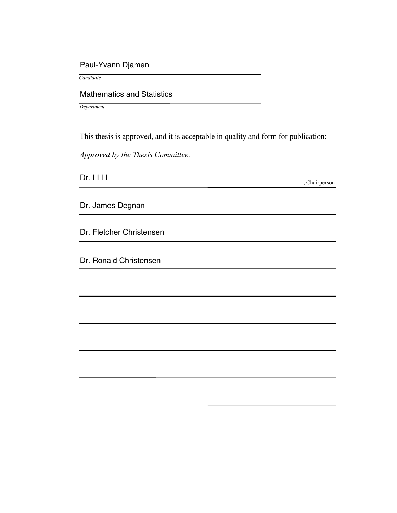## Paul-Yvann Djamen

 *Candidate*

## Mathematics and Statistics

*Department*

This thesis is approved, and it is acceptable in quality and form for publication:

*Approved by the Thesis Committee:*

Dr. LI LI

, Chairperson

Dr. James Degnan

Dr. Fletcher Christensen

Dr. Ronald Christensen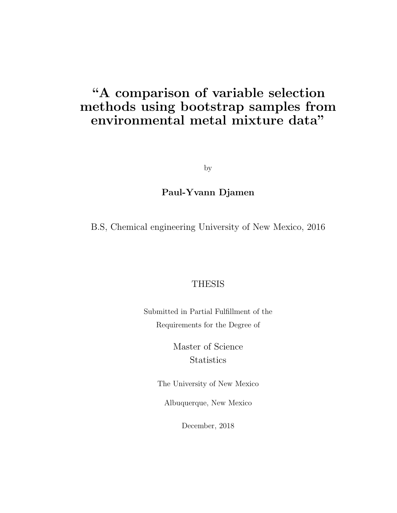## "A comparison of variable selection methods using bootstrap samples from environmental metal mixture data"

by

## Paul-Yvann Djamen

B.S, Chemical engineering University of New Mexico, 2016

## THESIS

Submitted in Partial Fulfillment of the Requirements for the Degree of

> Master of Science **Statistics**

The University of New Mexico

Albuquerque, New Mexico

December, 2018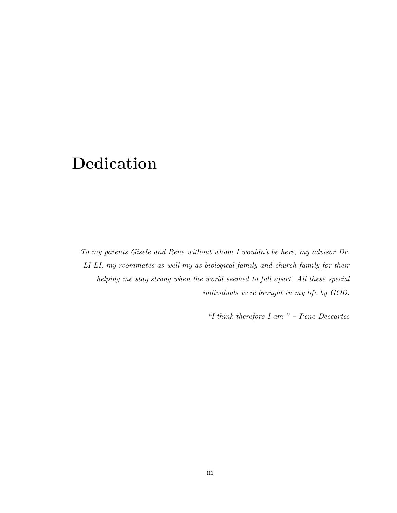# Dedication

*To my parents Gisele and Rene without whom I wouldn't be here, my advisor Dr. LI LI, my roommates as well my as biological family and church family for their helping me stay strong when the world seemed to fall apart. All these special individuals were brought in my life by GOD.*

*"I think therefore I am " – Rene Descartes*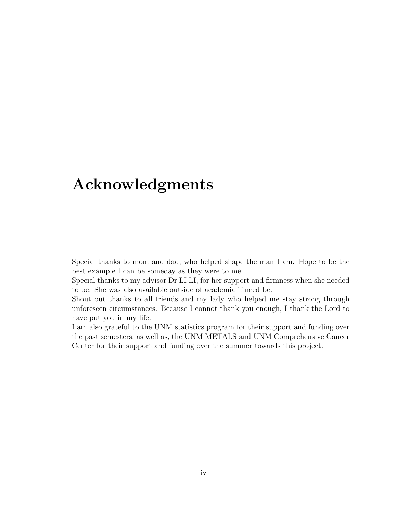## Acknowledgments

Special thanks to mom and dad, who helped shape the man I am. Hope to be the best example I can be someday as they were to me

Special thanks to my advisor Dr LI LI, for her support and firmness when she needed to be. She was also available outside of academia if need be.

Shout out thanks to all friends and my lady who helped me stay strong through unforeseen circumstances. Because I cannot thank you enough, I thank the Lord to have put you in my life.

I am also grateful to the UNM statistics program for their support and funding over the past semesters, as well as, the UNM METALS and UNM Comprehensive Cancer Center for their support and funding over the summer towards this project.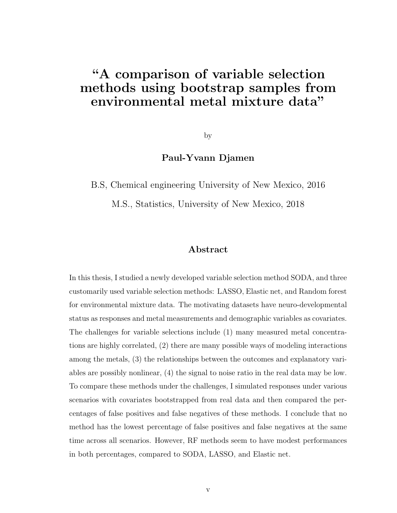## "A comparison of variable selection methods using bootstrap samples from environmental metal mixture data"

by

### Paul-Yvann Djamen

B.S, Chemical engineering University of New Mexico, 2016

M.S., Statistics, University of New Mexico, 2018

### Abstract

In this thesis, I studied a newly developed variable selection method SODA, and three customarily used variable selection methods: LASSO, Elastic net, and Random forest for environmental mixture data. The motivating datasets have neuro-developmental status as responses and metal measurements and demographic variables as covariates. The challenges for variable selections include (1) many measured metal concentrations are highly correlated, (2) there are many possible ways of modeling interactions among the metals, (3) the relationships between the outcomes and explanatory variables are possibly nonlinear, (4) the signal to noise ratio in the real data may be low. To compare these methods under the challenges, I simulated responses under various scenarios with covariates bootstrapped from real data and then compared the percentages of false positives and false negatives of these methods. I conclude that no method has the lowest percentage of false positives and false negatives at the same time across all scenarios. However, RF methods seem to have modest performances in both percentages, compared to SODA, LASSO, and Elastic net.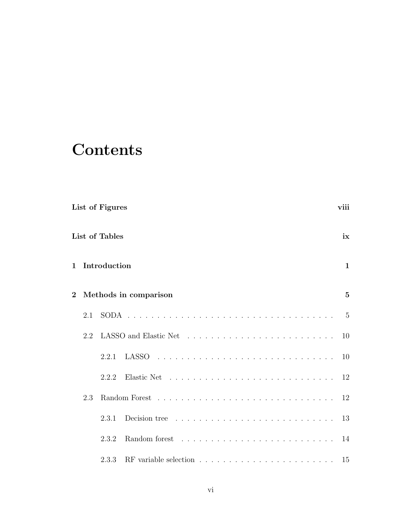# **Contents**

|                |     | List of Figures |                                                                                 | viii           |
|----------------|-----|-----------------|---------------------------------------------------------------------------------|----------------|
|                |     | List of Tables  |                                                                                 | ix             |
| $\mathbf{1}$   |     | Introduction    |                                                                                 | $\mathbf{1}$   |
| $\overline{2}$ |     |                 | Methods in comparison                                                           | $\overline{5}$ |
|                | 2.1 |                 |                                                                                 | $-5$           |
|                | 2.2 |                 |                                                                                 | 10             |
|                |     | 2.2.1           |                                                                                 |                |
|                |     | 2.2.2           |                                                                                 |                |
|                | 2.3 |                 |                                                                                 | 12             |
|                |     | 2.3.1           | Decision tree $\ldots \ldots \ldots \ldots \ldots \ldots \ldots \ldots$         | 13             |
|                |     | 2.3.2           |                                                                                 | 14             |
|                |     | 2.3.3           | RF variable selection $\ldots \ldots \ldots \ldots \ldots \ldots \ldots \ldots$ | 15             |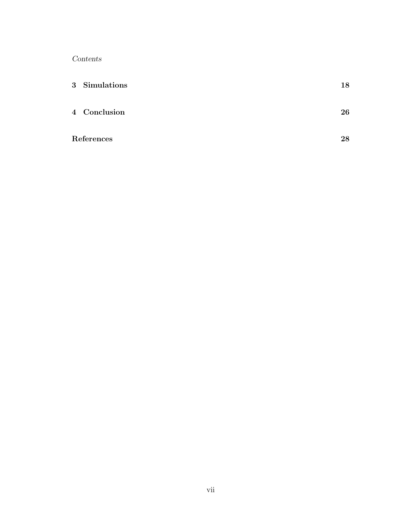*Contents*

| 3 Simulations | 18 |
|---------------|----|
| 4 Conclusion  | 26 |
| References    | 28 |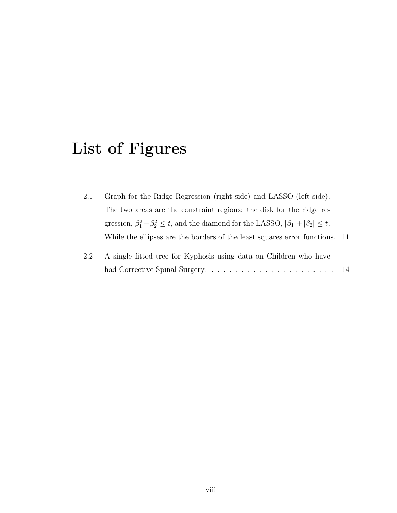# List of Figures

| 2.1 | Graph for the Ridge Regression (right side) and LASSO (left side).                                       |  |
|-----|----------------------------------------------------------------------------------------------------------|--|
|     | The two areas are the constraint regions: the disk for the ridge re-                                     |  |
|     | gression, $\beta_1^2 + \beta_2^2 \le t$ , and the diamond for the LASSO, $ \beta_1  +  \beta_2  \le t$ . |  |
|     | While the ellipses are the borders of the least squares error functions. 11                              |  |

| 2.2 A single fitted tree for Kyphosis using data on Children who have |  |
|-----------------------------------------------------------------------|--|
|                                                                       |  |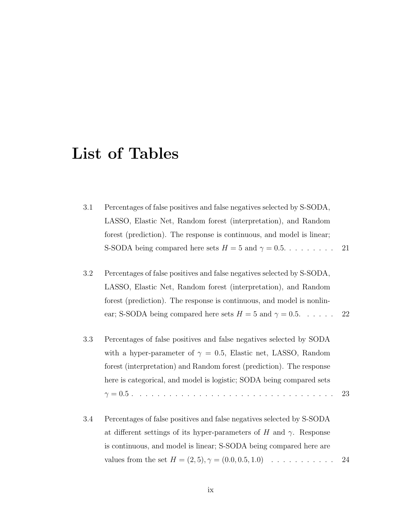## List of Tables

| 3.1 | Percentages of false positives and false negatives selected by S-SODA, |  |
|-----|------------------------------------------------------------------------|--|
|     | LASSO, Elastic Net, Random forest (interpretation), and Random         |  |
|     | forest (prediction). The response is continuous, and model is linear;  |  |
|     |                                                                        |  |

- 3.2 Percentages of false positives and false negatives selected by S-SODA, LASSO, Elastic Net, Random forest (interpretation), and Random forest (prediction). The response is continuous, and model is nonlinear; S-SODA being compared here sets  $H = 5$  and  $\gamma = 0.5$ . . . . . . 22
- 3.3 Percentages of false positives and false negatives selected by SODA with a hyper-parameter of  $\gamma = 0.5$ , Elastic net, LASSO, Random forest (interpretation) and Random forest (prediction). The response here is categorical, and model is logistic; SODA being compared sets = 0*.*5 . . . . . . . . . . . . . . . . . . . . . . . . . . . . . . . . . . 23
- 3.4 Percentages of false positives and false negatives selected by S-SODA at different settings of its hyper-parameters of  $H$  and  $\gamma$ . Response is continuous, and model is linear; S-SODA being compared here are values from the set  $H = (2, 5), \gamma = (0.0, 0.5, 1.0) \dots \dots \dots \dots \dots$  24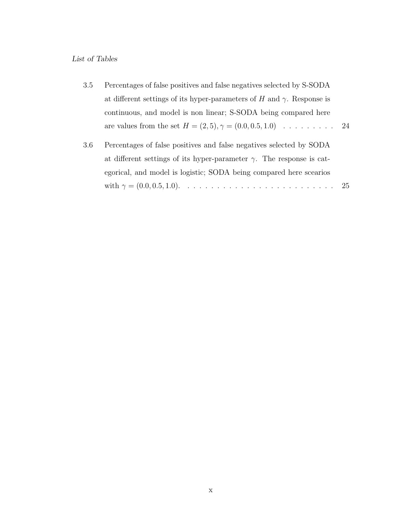### *List of Tables*

| Percentages of false positives and false negatives selected by S-SODA<br>3.5              |
|-------------------------------------------------------------------------------------------|
| at different settings of its hyper-parameters of H and $\gamma$ . Response is             |
| continuous, and model is non linear; S-SODA being compared here                           |
| are values from the set $H = (2, 5), \gamma = (0.0, 0.5, 1.0) \dots \dots \dots \dots 24$ |

3.6 Percentages of false positives and false negatives selected by SODA at different settings of its hyper-parameter  $\gamma$ . The response is categorical, and model is logistic; SODA being compared here scearios with = (0*.*0*,* 0*.*5*,* 1*.*0). . . . . . . . . . . . . . . . . . . . . . . . . . 25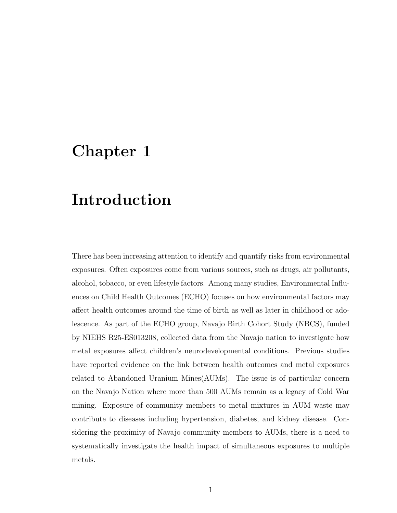## Chapter 1

## Introduction

There has been increasing attention to identify and quantify risks from environmental exposures. Often exposures come from various sources, such as drugs, air pollutants, alcohol, tobacco, or even lifestyle factors. Among many studies, Environmental Influences on Child Health Outcomes (ECHO) focuses on how environmental factors may affect health outcomes around the time of birth as well as later in childhood or adolescence. As part of the ECHO group, Navajo Birth Cohort Study (NBCS), funded by NIEHS R25-ES013208, collected data from the Navajo nation to investigate how metal exposures affect children's neurodevelopmental conditions. Previous studies have reported evidence on the link between health outcomes and metal exposures related to Abandoned Uranium Mines(AUMs). The issue is of particular concern on the Navajo Nation where more than 500 AUMs remain as a legacy of Cold War mining. Exposure of community members to metal mixtures in AUM waste may contribute to diseases including hypertension, diabetes, and kidney disease. Considering the proximity of Navajo community members to AUMs, there is a need to systematically investigate the health impact of simultaneous exposures to multiple metals.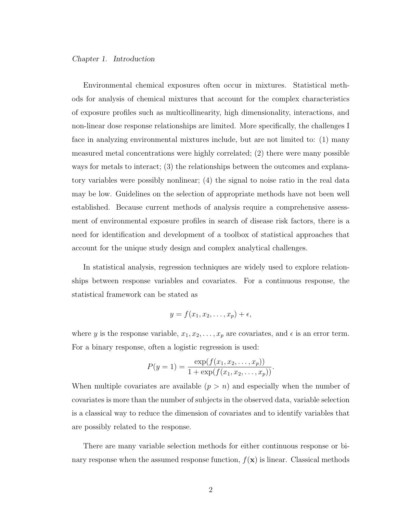### *Chapter 1. Introduction*

Environmental chemical exposures often occur in mixtures. Statistical methods for analysis of chemical mixtures that account for the complex characteristics of exposure profiles such as multicollinearity, high dimensionality, interactions, and non-linear dose response relationships are limited. More specifically, the challenges I face in analyzing environmental mixtures include, but are not limited to: (1) many measured metal concentrations were highly correlated; (2) there were many possible ways for metals to interact; (3) the relationships between the outcomes and explanatory variables were possibly nonlinear; (4) the signal to noise ratio in the real data may be low. Guidelines on the selection of appropriate methods have not been well established. Because current methods of analysis require a comprehensive assessment of environmental exposure profiles in search of disease risk factors, there is a need for identification and development of a toolbox of statistical approaches that account for the unique study design and complex analytical challenges.

In statistical analysis, regression techniques are widely used to explore relationships between response variables and covariates. For a continuous response, the statistical framework can be stated as

$$
y = f(x_1, x_2, \dots, x_p) + \epsilon,
$$

where *y* is the response variable,  $x_1, x_2, \ldots, x_p$  are covariates, and  $\epsilon$  is an error term. For a binary response, often a logistic regression is used:

$$
P(y = 1) = \frac{\exp(f(x_1, x_2, \dots, x_p))}{1 + \exp(f(x_1, x_2, \dots, x_p))}.
$$

When multiple covariates are available  $(p > n)$  and especially when the number of covariates is more than the number of subjects in the observed data, variable selection is a classical way to reduce the dimension of covariates and to identify variables that are possibly related to the response.

There are many variable selection methods for either continuous response or binary response when the assumed response function,  $f(\mathbf{x})$  is linear. Classical methods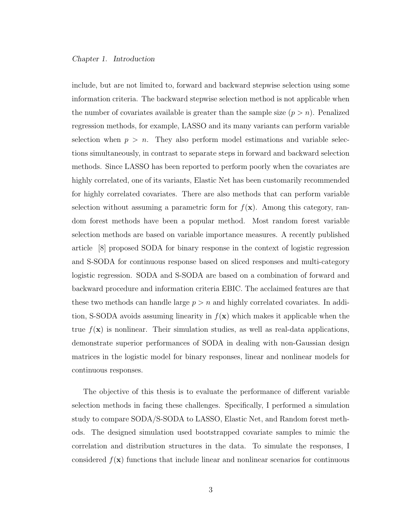### *Chapter 1. Introduction*

include, but are not limited to, forward and backward stepwise selection using some information criteria. The backward stepwise selection method is not applicable when the number of covariates available is greater than the sample size  $(p > n)$ . Penalized regression methods, for example, LASSO and its many variants can perform variable selection when  $p > n$ . They also perform model estimations and variable selections simultaneously, in contrast to separate steps in forward and backward selection methods. Since LASSO has been reported to perform poorly when the covariates are highly correlated, one of its variants, Elastic Net has been customarily recommended for highly correlated covariates. There are also methods that can perform variable selection without assuming a parametric form for  $f(\mathbf{x})$ . Among this category, random forest methods have been a popular method. Most random forest variable selection methods are based on variable importance measures. A recently published article [8] proposed SODA for binary response in the context of logistic regression and S-SODA for continuous response based on sliced responses and multi-category logistic regression. SODA and S-SODA are based on a combination of forward and backward procedure and information criteria EBIC. The acclaimed features are that these two methods can handle large  $p > n$  and highly correlated covariates. In addition, S-SODA avoids assuming linearity in  $f(\mathbf{x})$  which makes it applicable when the true  $f(\mathbf{x})$  is nonlinear. Their simulation studies, as well as real-data applications, demonstrate superior performances of SODA in dealing with non-Gaussian design matrices in the logistic model for binary responses, linear and nonlinear models for continuous responses.

The objective of this thesis is to evaluate the performance of different variable selection methods in facing these challenges. Specifically, I performed a simulation study to compare SODA/S-SODA to LASSO, Elastic Net, and Random forest methods. The designed simulation used bootstrapped covariate samples to mimic the correlation and distribution structures in the data. To simulate the responses, I considered  $f(\mathbf{x})$  functions that include linear and nonlinear scenarios for continuous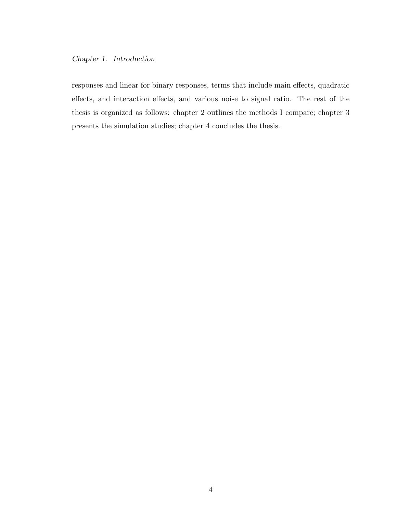### *Chapter 1. Introduction*

responses and linear for binary responses, terms that include main effects, quadratic effects, and interaction effects, and various noise to signal ratio. The rest of the thesis is organized as follows: chapter 2 outlines the methods I compare; chapter 3 presents the simulation studies; chapter 4 concludes the thesis.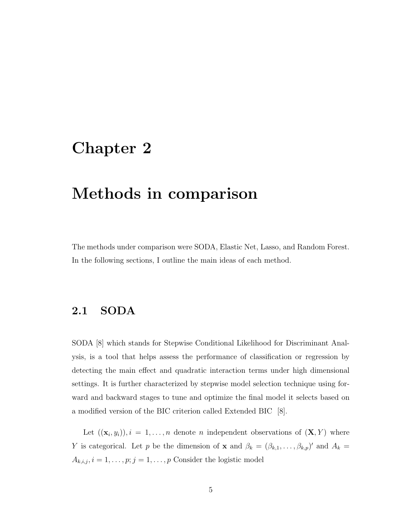## Chapter 2

## Methods in comparison

The methods under comparison were SODA, Elastic Net, Lasso, and Random Forest. In the following sections, I outline the main ideas of each method.

## 2.1 SODA

SODA [8] which stands for Stepwise Conditional Likelihood for Discriminant Analysis, is a tool that helps assess the performance of classification or regression by detecting the main effect and quadratic interaction terms under high dimensional settings. It is further characterized by stepwise model selection technique using forward and backward stages to tune and optimize the final model it selects based on a modified version of the BIC criterion called Extended BIC [8].

Let  $((\mathbf{x}_i, y_i)), i = 1, \ldots, n$  denote *n* independent observations of  $(\mathbf{X}, Y)$  where *Y* is categorical. Let *p* be the dimension of **x** and  $\beta_k = (\beta_{k,1}, \ldots, \beta_{k,p})'$  and  $A_k =$  $A_{k,i,j}, i = 1, \ldots, p; j = 1, \ldots, p$  Consider the logistic model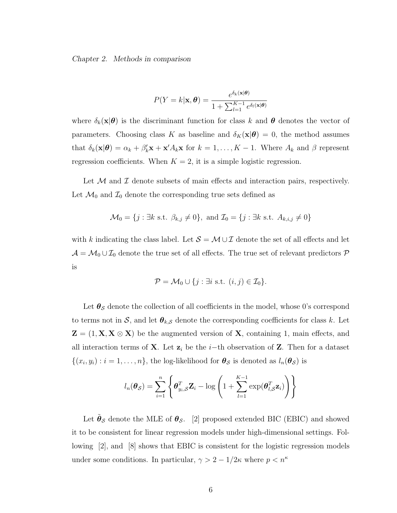*Chapter 2. Methods in comparison*

$$
P(Y = k|\mathbf{x}, \boldsymbol{\theta}) = \frac{e^{\delta_k(\mathbf{x}|\boldsymbol{\theta})}}{1 + \sum_{l=1}^{K-1} e^{\delta_l(\mathbf{x}|\boldsymbol{\theta})}}
$$

where  $\delta_k(\mathbf{x}|\boldsymbol{\theta})$  is the discriminant function for class k and  $\boldsymbol{\theta}$  denotes the vector of parameters. Choosing class *K* as baseline and  $\delta_K(\mathbf{x}|\boldsymbol{\theta}) = 0$ , the method assumes that  $\delta_k(\mathbf{x}|\boldsymbol{\theta}) = \alpha_k + \beta'_k \mathbf{x} + \mathbf{x}' A_k \mathbf{x}$  for  $k = 1, ..., K - 1$ . Where  $A_k$  and  $\beta$  represent regression coefficients. When  $K = 2$ , it is a simple logistic regression.

Let  $M$  and  $I$  denote subsets of main effects and interaction pairs, respectively. Let  $\mathcal{M}_0$  and  $\mathcal{I}_0$  denote the corresponding true sets defined as

$$
\mathcal{M}_0 = \{j : \exists k \text{ s.t. } \beta_{k,j} \neq 0\}, \text{ and } \mathcal{I}_0 = \{j : \exists k \text{ s.t. } A_{k,i,j} \neq 0\}
$$

with *k* indicating the class label. Let  $S = \mathcal{M} \cup \mathcal{I}$  denote the set of all effects and let  $\mathcal{A} = \mathcal{M}_0 \cup \mathcal{I}_0$  denote the true set of all effects. The true set of relevant predictors  $\mathcal{P}$ is

$$
\mathcal{P} = \mathcal{M}_0 \cup \{j : \exists i \text{ s.t. } (i,j) \in \mathcal{I}_0 \}.
$$

Let  $\theta_{\mathcal{S}}$  denote the collection of all coefficients in the model, whose 0's correspond to terms not in *S*, and let  $\theta_{k,S}$  denote the corresponding coefficients for class *k*. Let  $\mathbf{Z} = (1, \mathbf{X}, \mathbf{X} \otimes \mathbf{X})$  be the augmented version of **X**, containing 1, main effects, and all interaction terms of **X**. Let  $z_i$  be the *i*-th observation of **Z**. Then for a dataset  $\{(x_i, y_i) : i = 1, \ldots, n\}$ , the log-likelihood for  $\theta_{\mathcal{S}}$  is denoted as  $l_n(\theta_{\mathcal{S}})$  is

$$
l_n(\boldsymbol{\theta}_{\mathcal{S}}) = \sum_{i=1}^n \left\{ \boldsymbol{\theta}_{y_i,\mathcal{S}}^T \mathbf{Z}_i - \log \left( 1 + \sum_{l=1}^{K-1} \exp(\boldsymbol{\theta}_{l,\mathcal{S}}^T \mathbf{z}_i) \right) \right\}
$$

Let  $\tilde{\theta}_{\mathcal{S}}$  denote the MLE of  $\theta_{\mathcal{S}}$ . [2] proposed extended BIC (EBIC) and showed it to be consistent for linear regression models under high-dimensional settings. Following [2], and [8] shows that EBIC is consistent for the logistic regression models under some conditions. In particular,  $\gamma > 2 - 1/2\kappa$  where  $p < n^{\kappa}$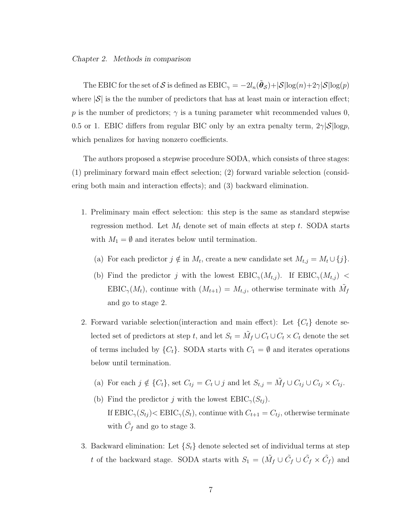#### *Chapter 2. Methods in comparison*

The EBIC for the set of S is defined as  $EBIC_{\gamma} = -2l_n(\hat{\theta}_{\mathcal{S}})+|\mathcal{S}|\log(n)+2\gamma|\mathcal{S}|\log(p)$ where  $|\mathcal{S}|$  is the the number of predictors that has at least main or interaction effect; p is the number of predictors;  $\gamma$  is a tuning parameter whit recommended values 0, 0.5 or 1. EBIC differs from regular BIC only by an extra penalty term,  $2\gamma|\mathcal{S}|log p$ , which penalizes for having nonzero coefficients.

The authors proposed a stepwise procedure SODA, which consists of three stages:  $(1)$  preliminary forward main effect selection;  $(2)$  forward variable selection (considering both main and interaction effects); and  $(3)$  backward elimination.

- 1. Preliminary main effect selection: this step is the same as standard stepwise regression method. Let  $M_t$  denote set of main effects at step  $t$ . SODA starts with  $M_1 = \emptyset$  and iterates below until termination.
	- (a) For each predictor  $j \notin \text{in } M_t$ , create a new candidate set  $M_{t,j} = M_t \cup \{j\}$ .
	- (b) Find the predictor *j* with the lowest  $EBIC_{\gamma}(M_{t,j})$ . If  $EBIC_{\gamma}(M_{t,j})$  $EBIC_{\gamma}(M_t)$ , continue with  $(M_{t+1}) = M_{t,j}$ , otherwise terminate with  $\tilde{M}_f$ and go to stage 2.
- 2. Forward variable selection(interaction and main effect): Let  ${C<sub>t</sub>}$  denote selected set of predictors at step *t*, and let  $S_t = \tilde{M}_f \cup C_t \cup C_t \times C_t$  denote the set of terms included by  $\{C_t\}$ . SODA starts with  $C_1 = \emptyset$  and iterates operations below until termination.
	- (a) For each  $j \notin \{C_t\}$ , set  $C_{tj} = C_t \cup j$  and let  $S_{t,j} = \tilde{M}_f \cup C_{tj} \cup C_{tj} \times C_{tj}$ .
	- (b) Find the predictor *j* with the lowest  $EBIC_{\gamma}(S_{t_i})$ . If  $EBIC_{\gamma}(S_{tj}) < EBIC_{\gamma}(S_{t})$ , continue with  $C_{t+1} = C_{tj}$ , otherwise terminate with  $\tilde{C}_f$  and go to stage 3.
- 3. Backward elimination: Let  $\{S_t\}$  denote selected set of individual terms at step *t* of the backward stage. SODA starts with  $S_1 = (\tilde{M}_f \cup \tilde{C}_f \cup \tilde{C}_f \times \tilde{C}_f)$  and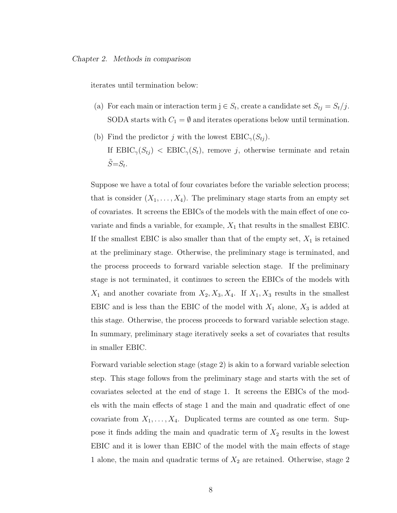iterates until termination below:

- (a) For each main or interaction term  $j \in S_t$ , create a candidate set  $S_{tj} = S_t/j$ . SODA starts with  $C_1 = \emptyset$  and iterates operations below until termination.
- (b) Find the predictor *j* with the lowest  $EBIC_{\gamma}(S_{tj}).$ If  $EBIC_{\gamma}(S_{tj})$  <  $EBIC_{\gamma}(S_t)$ , remove *j*, otherwise terminate and retain  $\ddot{S} = S_t$ .

Suppose we have a total of four covariates before the variable selection process; that is consider  $(X_1, \ldots, X_4)$ . The preliminary stage starts from an empty set of covariates. It screens the EBICs of the models with the main effect of one covariate and finds a variable, for example,  $X_1$  that results in the smallest EBIC. If the smallest EBIC is also smaller than that of the empty set,  $X_1$  is retained at the preliminary stage. Otherwise, the preliminary stage is terminated, and the process proceeds to forward variable selection stage. If the preliminary stage is not terminated, it continues to screen the EBICs of the models with  $X_1$  and another covariate from  $X_2, X_3, X_4$ . If  $X_1, X_3$  results in the smallest EBIC and is less than the EBIC of the model with  $X_1$  alone,  $X_3$  is added at this stage. Otherwise, the process proceeds to forward variable selection stage. In summary, preliminary stage iteratively seeks a set of covariates that results in smaller EBIC.

Forward variable selection stage (stage 2) is akin to a forward variable selection step. This stage follows from the preliminary stage and starts with the set of covariates selected at the end of stage 1. It screens the EBICs of the models with the main effects of stage 1 and the main and quadratic effect of one covariate from  $X_1, \ldots, X_4$ . Duplicated terms are counted as one term. Suppose it finds adding the main and quadratic term of *X*<sup>2</sup> results in the lowest EBIC and it is lower than EBIC of the model with the main effects of stage 1 alone, the main and quadratic terms of *X*<sup>2</sup> are retained. Otherwise, stage 2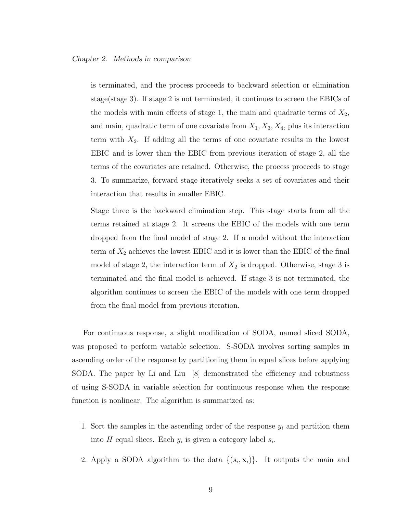is terminated, and the process proceeds to backward selection or elimination stage(stage 3). If stage 2 is not terminated, it continues to screen the EBICs of the models with main effects of stage 1, the main and quadratic terms of  $X_2$ , and main, quadratic term of one covariate from *X*1*, X*3*, X*4, plus its interaction term with *X*2. If adding all the terms of one covariate results in the lowest EBIC and is lower than the EBIC from previous iteration of stage 2, all the terms of the covariates are retained. Otherwise, the process proceeds to stage 3. To summarize, forward stage iteratively seeks a set of covariates and their interaction that results in smaller EBIC.

Stage three is the backward elimination step. This stage starts from all the terms retained at stage 2. It screens the EBIC of the models with one term dropped from the final model of stage 2. If a model without the interaction term of  $X_2$  achieves the lowest EBIC and it is lower than the EBIC of the final model of stage 2, the interaction term of  $X_2$  is dropped. Otherwise, stage 3 is terminated and the final model is achieved. If stage 3 is not terminated, the algorithm continues to screen the EBIC of the models with one term dropped from the final model from previous iteration.

For continuous response, a slight modification of SODA, named sliced SODA, was proposed to perform variable selection. S-SODA involves sorting samples in ascending order of the response by partitioning them in equal slices before applying SODA. The paper by Li and Liu [8] demonstrated the efficiency and robustness of using S-SODA in variable selection for continuous response when the response function is nonlinear. The algorithm is summarized as:

- 1. Sort the samples in the ascending order of the response *y<sup>i</sup>* and partition them into *H* equal slices. Each *y<sup>i</sup>* is given a category label *si*.
- 2. Apply a SODA algorithm to the data  $\{(s_i, \mathbf{x}_i)\}\$ . It outputs the main and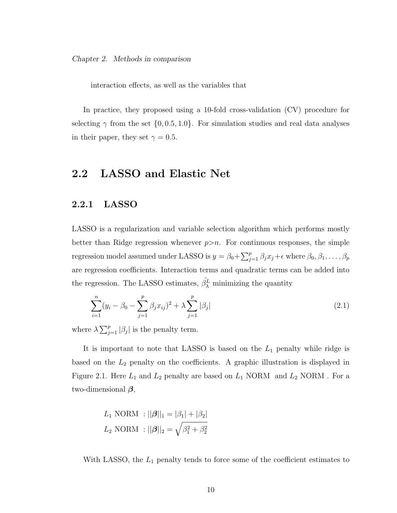*Chapter 2. Methods in comparison*

interaction effects, as well as the variables that

In practice, they proposed using a 10-fold cross-validation (CV) procedure for selecting  $\gamma$  from the set  $\{0, 0.5, 1.0\}$ . For simulation studies and real data analyses in their paper, they set  $\gamma = 0.5$ .

## 2.2 LASSO and Elastic Net

### 2.2.1 LASSO

LASSO is a regularization and variable selection algorithm which performs mostly better than Ridge regression whenever  $p>n$ . For continuous responses, the simple regression model assumed under LASSO is  $y = \beta_0 + \sum_{j=1}^p \beta_j x_j + \epsilon$  where  $\beta_0, \beta_1, \ldots, \beta_p$ are regression coefficients. Interaction terms and quadratic terms can be added into the regression. The LASSO estimates,  $\hat{\beta}_{\lambda}^{L}$  minimizing the quantity

$$
\sum_{i=1}^{n} (y_i - \beta_0 - \sum_{j=1}^{p} \beta_j x_{ij})^2 + \lambda \sum_{j=1}^{p} |\beta_j|
$$
 (2.1)

where  $\lambda \sum_{j=1}^{p} |\beta_j|$  is the penalty term.

It is important to note that LASSO is based on the *L*<sup>1</sup> penalty while ridge is based on the  $L_2$  penalty on the coefficients. A graphic illustration is displayed in Figure 2.1. Here  $L_1$  and  $L_2$  penalty are based on  $L_1$  NORM and  $L_2$  NORM. For a two-dimensional  $\beta$ ,

$$
L_1 \text{ NORMAL : } ||\beta||_1 = |\beta_1| + |\beta_2|
$$
  

$$
L_2 \text{ NORMAL : } ||\beta||_2 = \sqrt{\beta_1^2 + \beta_2^2}
$$

With LASSO, the  $L_1$  penalty tends to force some of the coefficient estimates to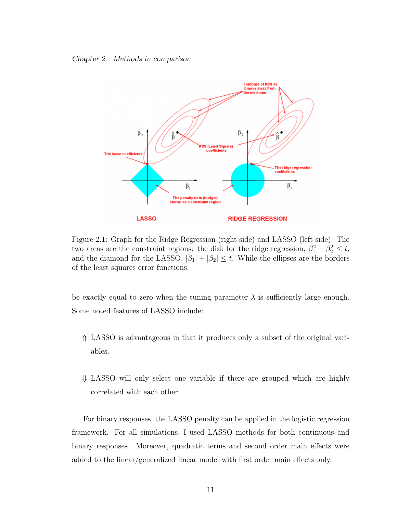*Chapter 2. Methods in comparison*



Figure 2.1: Graph for the Ridge Regression (right side) and LASSO (left side). The two areas are the constraint regions: the disk for the ridge regression,  $\beta_1^2 + \beta_2^2 \le t$ , and the diamond for the LASSO,  $|\beta_1| + |\beta_2| \leq t$ . While the ellipses are the borders of the least squares error functions.

be exactly equal to zero when the tuning parameter  $\lambda$  is sufficiently large enough. Some noted features of LASSO include:

- \* LASSO is advantageous in that it produces only a subset of the original variables.
- $\downarrow$  LASSO will only select one variable if there are grouped which are highly correlated with each other.

For binary responses, the LASSO penalty can be applied in the logistic regression framework. For all simulations, I used LASSO methods for both continuous and binary responses. Moreover, quadratic terms and second order main effects were added to the linear/generalized linear model with first order main effects only.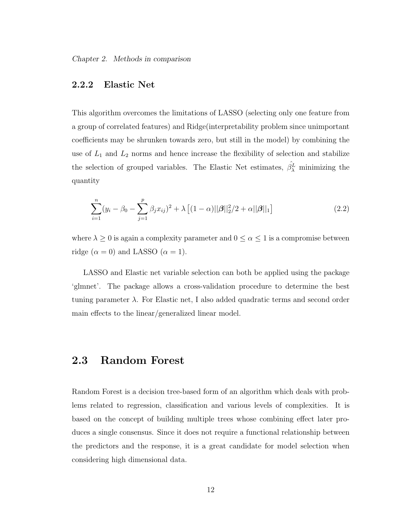*Chapter 2. Methods in comparison*

### 2.2.2 Elastic Net

This algorithm overcomes the limitations of LASSO (selecting only one feature from a group of correlated features) and Ridge(interpretability problem since unimportant coefficients may be shrunken towards zero, but still in the model) by combining the use of  $L_1$  and  $L_2$  norms and hence increase the flexibility of selection and stabilize the selection of grouped variables. The Elastic Net estimates,  $\hat{\beta}_{\lambda}^{L}$  minimizing the quantity

$$
\sum_{i=1}^{n} (y_i - \beta_0 - \sum_{j=1}^{p} \beta_j x_{ij})^2 + \lambda \left[ (1 - \alpha) ||\beta||_2^2 / 2 + \alpha ||\beta||_1 \right] \tag{2.2}
$$

where  $\lambda \geq 0$  is again a complexity parameter and  $0 \leq \alpha \leq 1$  is a compromise between ridge ( $\alpha = 0$ ) and LASSO ( $\alpha = 1$ ).

LASSO and Elastic net variable selection can both be applied using the package 'glmnet'. The package allows a cross-validation procedure to determine the best tuning parameter  $\lambda$ . For Elastic net, I also added quadratic terms and second order main effects to the linear/generalized linear model.

## 2.3 Random Forest

Random Forest is a decision tree-based form of an algorithm which deals with problems related to regression, classification and various levels of complexities. It is based on the concept of building multiple trees whose combining effect later produces a single consensus. Since it does not require a functional relationship between the predictors and the response, it is a great candidate for model selection when considering high dimensional data.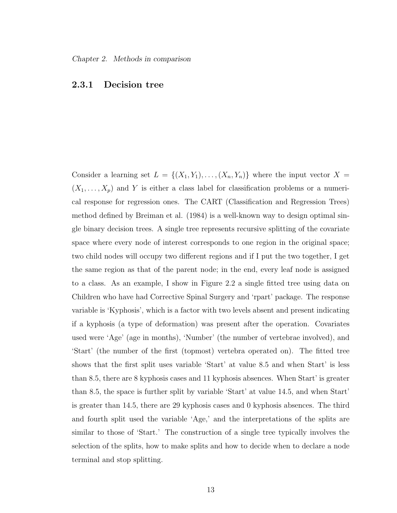### 2.3.1 Decision tree

Consider a learning set  $L = \{(X_1, Y_1), \ldots, (X_n, Y_n)\}$  where the input vector  $X =$  $(X_1, \ldots, X_p)$  and *Y* is either a class label for classification problems or a numerical response for regression ones. The CART (Classification and Regression Trees) method defined by Breiman et al. (1984) is a well-known way to design optimal single binary decision trees. A single tree represents recursive splitting of the covariate space where every node of interest corresponds to one region in the original space; two child nodes will occupy two different regions and if I put the two together, I get the same region as that of the parent node; in the end, every leaf node is assigned to a class. As an example, I show in Figure 2.2 a single fitted tree using data on Children who have had Corrective Spinal Surgery and 'rpart' package. The response variable is 'Kyphosis', which is a factor with two levels absent and present indicating if a kyphosis (a type of deformation) was present after the operation. Covariates used were 'Age' (age in months), 'Number' (the number of vertebrae involved), and 'Start' (the number of the first (topmost) vertebra operated on). The fitted tree shows that the first split uses variable 'Start' at value 8.5 and when Start' is less than 8.5, there are 8 kyphosis cases and 11 kyphosis absences. When Start' is greater than 8.5, the space is further split by variable 'Start' at value 14.5, and when Start' is greater than 14.5, there are 29 kyphosis cases and 0 kyphosis absences. The third and fourth split used the variable 'Age,' and the interpretations of the splits are similar to those of 'Start.' The construction of a single tree typically involves the selection of the splits, how to make splits and how to decide when to declare a node terminal and stop splitting.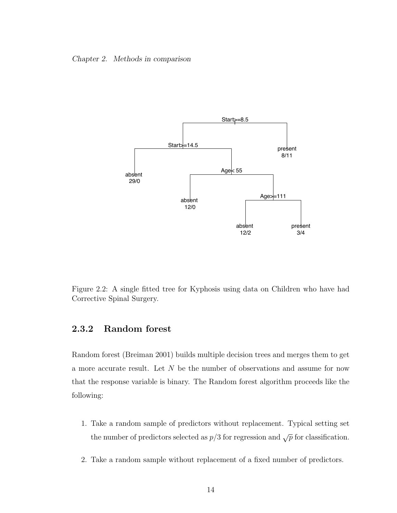#### *Chapter 2. Methods in comparison*



Figure 2.2: A single fitted tree for Kyphosis using data on Children who have had Corrective Spinal Surgery.

### 2.3.2 Random forest

Random forest (Breiman 2001) builds multiple decision trees and merges them to get a more accurate result. Let *N* be the number of observations and assume for now that the response variable is binary. The Random forest algorithm proceeds like the following:

- 1. Take a random sample of predictors without replacement. Typical setting set the number of predictors selected as  $p/3$  for regression and  $\sqrt{p}$  for classification.
- 2. Take a random sample without replacement of a fixed number of predictors.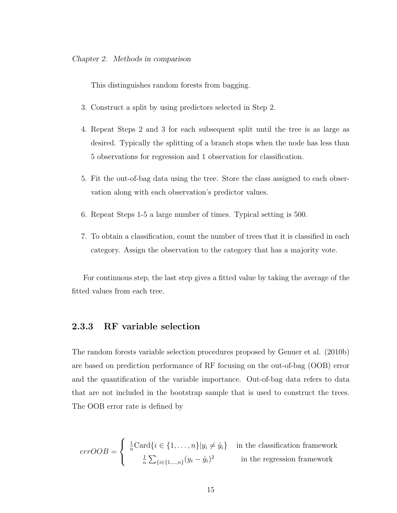This distinguishes random forests from bagging.

- 3. Construct a split by using predictors selected in Step 2.
- 4. Repeat Steps 2 and 3 for each subsequent split until the tree is as large as desired. Typically the splitting of a branch stops when the node has less than 5 observations for regression and 1 observation for classification.
- 5. Fit the out-of-bag data using the tree. Store the class assigned to each observation along with each observation's predictor values.
- 6. Repeat Steps 1-5 a large number of times. Typical setting is 500.
- 7. To obtain a classification, count the number of trees that it is classified in each category. Assign the observation to the category that has a majority vote.

For continuous step, the last step gives a fitted value by taking the average of the fitted values from each tree.

### 2.3.3 RF variable selection

The random forests variable selection procedures proposed by Genuer et al. (2010b) are based on prediction performance of RF focusing on the out-of-bag (OOB) error and the quantification of the variable importance. Out-of-bag data refers to data that are not included in the bootstrap sample that is used to construct the trees. The OOB error rate is defined by

$$
errOOB = \begin{cases} \frac{1}{n} \text{Card}\{i \in \{1, ..., n\} | y_i \neq \hat{y}_i\} & \text{in the classification framework} \\ \frac{1}{n} \sum_{\{i \in \{1, ..., n\}} (y_i - \hat{y}_i)^2 & \text{in the regression framework} \end{cases}
$$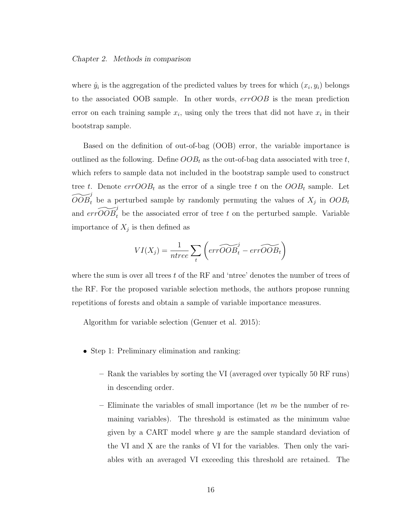#### *Chapter 2. Methods in comparison*

where  $\hat{y}_i$  is the aggregation of the predicted values by trees for which  $(x_i, y_i)$  belongs to the associated OOB sample. In other words, *errOOB* is the mean prediction error on each training sample  $x_i$ , using only the trees that did not have  $x_i$  in their bootstrap sample.

Based on the definition of out-of-bag (OOB) error, the variable importance is outlined as the following. Define *OOB<sup>t</sup>* as the out-of-bag data associated with tree *t*, which refers to sample data not included in the bootstrap sample used to construct tree *t*. Denote  $errOOB_t$  as the error of a single tree *t* on the  $OOB_t$  sample. Let  $\widetilde{OOB}_t^j$  be a perturbed sample by randomly permuting the values of  $X_j$  in  $OOB_t$ and  $\widetilde{errOOB}$ <sup>*i*</sup><sub>*t*</sub> be the associated error of tree *t* on the perturbed sample. Variable importance of  $X_j$  is then defined as

$$
VI(X_j) = \frac{1}{ntree} \sum_{t} \left( err\widetilde{OOB}_t - err\widetilde{OOB}_t \right)
$$

where the sum is over all trees *t* of the RF and 'ntree' denotes the number of trees of the RF. For the proposed variable selection methods, the authors propose running repetitions of forests and obtain a sample of variable importance measures.

Algorithm for variable selection (Genuer et al. 2015):

- Step 1: Preliminary elimination and ranking:
	- Rank the variables by sorting the VI (averaged over typically 50 RF runs) in descending order.
	- Eliminate the variables of small importance (let *m* be the number of remaining variables). The threshold is estimated as the minimum value given by a CART model where *y* are the sample standard deviation of the VI and X are the ranks of VI for the variables. Then only the variables with an averaged VI exceeding this threshold are retained. The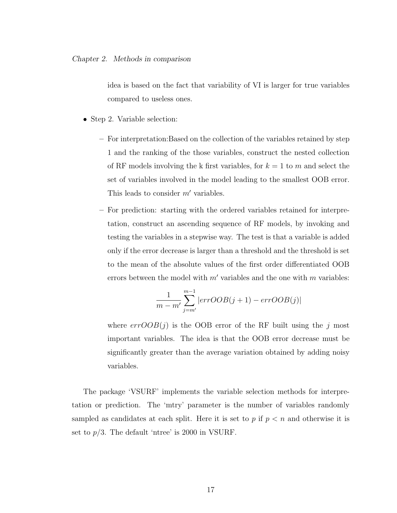idea is based on the fact that variability of VI is larger for true variables compared to useless ones.

- *•* Step 2. Variable selection:
	- For interpretation:Based on the collection of the variables retained by step 1 and the ranking of the those variables, construct the nested collection of RF models involving the k first variables, for  $k = 1$  to m and select the set of variables involved in the model leading to the smallest OOB error. This leads to consider  $m'$  variables.
	- For prediction: starting with the ordered variables retained for interpretation, construct an ascending sequence of RF models, by invoking and testing the variables in a stepwise way. The test is that a variable is added only if the error decrease is larger than a threshold and the threshold is set to the mean of the absolute values of the first order differentiated OOB errors between the model with  $m'$  variables and the one with  $m$  variables:

$$
\frac{1}{m-m'}\sum_{j=m'}^{m-1} |errOOB(j+1)-errOOB(j)|
$$

where  $errOOB(i)$  is the OOB error of the RF built using the *j* most important variables. The idea is that the OOB error decrease must be significantly greater than the average variation obtained by adding noisy variables.

The package 'VSURF' implements the variable selection methods for interpretation or prediction. The 'mtry' parameter is the number of variables randomly sampled as candidates at each split. Here it is set to  $p$  if  $p < n$  and otherwise it is set to  $p/3$ . The default 'ntree' is 2000 in VSURF.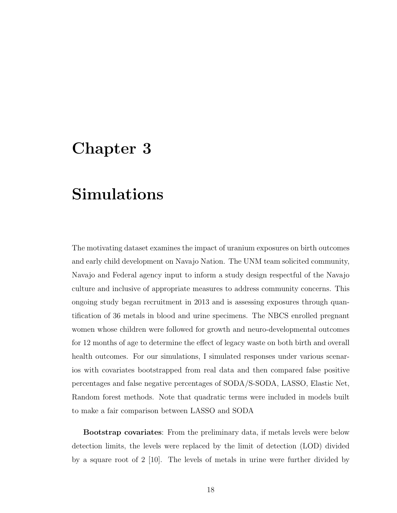## Chapter 3

## Simulations

The motivating dataset examines the impact of uranium exposures on birth outcomes and early child development on Navajo Nation. The UNM team solicited community, Navajo and Federal agency input to inform a study design respectful of the Navajo culture and inclusive of appropriate measures to address community concerns. This ongoing study began recruitment in 2013 and is assessing exposures through quantification of 36 metals in blood and urine specimens. The NBCS enrolled pregnant women whose children were followed for growth and neuro-developmental outcomes for 12 months of age to determine the effect of legacy waste on both birth and overall health outcomes. For our simulations, I simulated responses under various scenarios with covariates bootstrapped from real data and then compared false positive percentages and false negative percentages of SODA/S-SODA, LASSO, Elastic Net, Random forest methods. Note that quadratic terms were included in models built to make a fair comparison between LASSO and SODA

Bootstrap covariates: From the preliminary data, if metals levels were below detection limits, the levels were replaced by the limit of detection (LOD) divided by a square root of 2 [10]. The levels of metals in urine were further divided by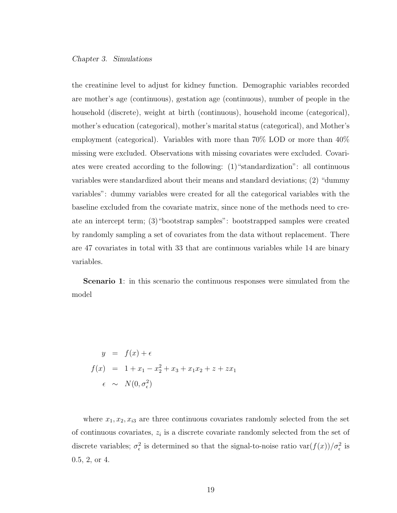the creatinine level to adjust for kidney function. Demographic variables recorded are mother's age (continuous), gestation age (continuous), number of people in the household (discrete), weight at birth (continuous), household income (categorical), mother's education (categorical), mother's marital status (categorical), and Mother's employment (categorical). Variables with more than 70% LOD or more than 40% missing were excluded. Observations with missing covariates were excluded. Covariates were created according to the following: (1)"standardization": all continuous variables were standardized about their means and standard deviations; (2) "dummy variables": dummy variables were created for all the categorical variables with the baseline excluded from the covariate matrix, since none of the methods need to create an intercept term; (3)"bootstrap samples": bootstrapped samples were created by randomly sampling a set of covariates from the data without replacement. There are 47 covariates in total with 33 that are continuous variables while 14 are binary variables.

Scenario 1: in this scenario the continuous responses were simulated from the model

$$
y = f(x) + \epsilon
$$
  

$$
f(x) = 1 + x_1 - x_2^2 + x_3 + x_1 x_2 + z + z x_1
$$
  

$$
\epsilon \sim N(0, \sigma_{\epsilon}^2)
$$

where  $x_1, x_2, x_{i3}$  are three continuous covariates randomly selected from the set of continuous covariates, *z<sup>i</sup>* is a discrete covariate randomly selected from the set of discrete variables;  $\sigma_{\epsilon}^2$  is determined so that the signal-to-noise ratio  $var(f(x))/\sigma_{\epsilon}^2$  is 0.5, 2, or 4.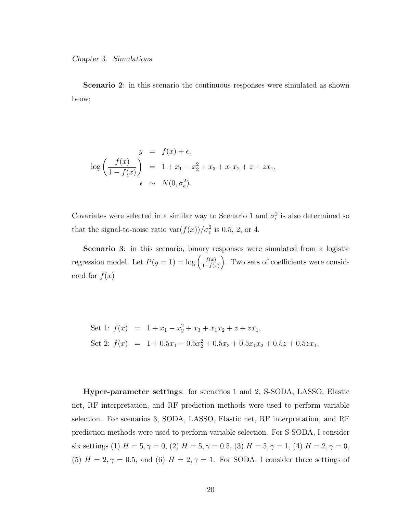Scenario 2: in this scenario the continuous responses were simulated as shown beow;

$$
y = f(x) + \epsilon,
$$
  
\n
$$
\log\left(\frac{f(x)}{1 - f(x)}\right) = 1 + x_1 - x_2^2 + x_3 + x_1x_2 + z + zx_1,
$$
  
\n
$$
\epsilon \sim N(0, \sigma_{\epsilon}^2).
$$

Covariates were selected in a similar way to Scenario 1 and  $\sigma_{\epsilon}^2$  is also determined so that the signal-to-noise ratio  $\text{var}(f(x))/\sigma_{\epsilon}^2$  is 0.5, 2, or 4.

Scenario 3: in this scenario, binary responses were simulated from a logistic regression model. Let  $P(y = 1) = \log \left( \frac{f(x)}{1 - f(x)} \right)$ ). Two sets of coefficients were considered for  $f(x)$ 

Set 1: 
$$
f(x) = 1 + x_1 - x_2^2 + x_3 + x_1x_2 + z + zx_1
$$
,  
\nSet 2:  $f(x) = 1 + 0.5x_1 - 0.5x_2^2 + 0.5x_3 + 0.5x_1x_2 + 0.5z + 0.5zx_1$ ,

Hyper-parameter settings: for scenarios 1 and 2, S-SODA, LASSO, Elastic net, RF interpretation, and RF prediction methods were used to perform variable selection. For scenarios 3, SODA, LASSO, Elastic net, RF interpretation, and RF prediction methods were used to perform variable selection. For S-SODA, I consider six settings (1)  $H = 5, \gamma = 0$ , (2)  $H = 5, \gamma = 0.5$ , (3)  $H = 5, \gamma = 1$ , (4)  $H = 2, \gamma = 0$ , (5)  $H = 2, \gamma = 0.5$ , and (6)  $H = 2, \gamma = 1$ . For SODA, I consider three settings of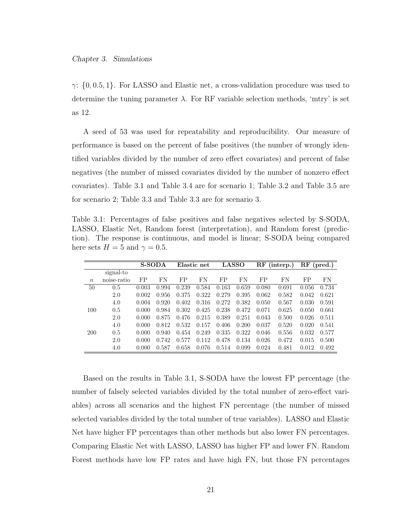$\gamma$ :  $\{0, 0.5, 1\}$ . For LASSO and Elastic net, a cross-validation procedure was used to determine the tuning parameter  $\lambda$ . For RF variable selection methods, 'mtry' is set as 12.

A seed of 53 was used for repeatability and reproducibility. Our measure of performance is based on the percent of false positives (the number of wrongly identified variables divided by the number of zero effect covariates) and percent of false negatives (the number of missed covariates divided by the number of nonzero effect covariates). Table 3.1 and Table 3.4 are for scenario 1; Table 3.2 and Table 3.5 are for scenario 2; Table 3.3 and Table 3.3 are for scenario 3.

Table 3.1: Percentages of false positives and false negatives selected by S-SODA, LASSO, Elastic Net, Random forest (interpretation), and Random forest (prediction). The response is continuous, and model is linear; S-SODA being compared here sets  $H = 5$  and  $\gamma = 0.5$ .

|                  |             |       | <b>S-SODA</b> |       | Elastic net |       | <b>LASSO</b> |       | (interp.) | $\rm RF$<br>(pred.) |       |
|------------------|-------------|-------|---------------|-------|-------------|-------|--------------|-------|-----------|---------------------|-------|
|                  | signal-to   |       |               |       |             |       |              |       |           |                     |       |
| $\boldsymbol{n}$ | noise-ratio | FP    | FN            | FP    | FN          | FP    | FN           | FP    | FN        | FP                  | FN    |
| 50               | 0.5         | 0.003 | 0.994         | 0.239 | 0.584       | 0.163 | 0.659        | 0.080 | 0.691     | 0.056               | 0.734 |
|                  | 2.0         | 0.002 | 0.956         | 0.375 | 0.322       | 0.279 | 0.395        | 0.062 | 0.582     | 0.042               | 0.621 |
|                  | 4.0         | 0.004 | 0.920         | 0.402 | 0.316       | 0.272 | 0.382        | 0.050 | 0.567     | 0.030               | 0.591 |
| 100              | 0.5         | 0.000 | 0.984         | 0.302 | 0.425       | 0.238 | 0.472        | 0.071 | 0.625     | 0.050               | 0.661 |
|                  | 2.0         | 0.000 | 0.875         | 0.476 | 0.215       | 0.389 | 0.251        | 0.043 | 0.500     | 0.026               | 0.511 |
|                  | 4.0         | 0.000 | 0.812         | 0.532 | 0.157       | 0.406 | 0.200        | 0.037 | 0.520     | 0.020               | 0.541 |
| <b>200</b>       | 0.5         | 0.000 | 0.940         | 0.454 | 0.249       | 0.335 | 0.322        | 0.046 | 0.556     | 0.032               | 0.577 |
|                  | 2.0         | 0.000 | 0.742         | 0.577 | 0.112       | 0.478 | 0.134        | 0.026 | 0.472     | 0.015               | 0.500 |
|                  | 4.0         | 0.000 | 0.587         | 0.658 | 0.076       | 0.514 | 0.099        | 0.024 | 0.481     | 0.012               | 0.492 |

Based on the results in Table 3.1, S-SODA have the lowest FP percentage (the number of falsely selected variables divided by the total number of zero-effect variables) across all scenarios and the highest FN percentage (the number of missed selected variables divided by the total number of true variables). LASSO and Elastic Net have higher FP percentages than other methods but also lower FN percentages. Comparing Elastic Net with LASSO, LASSO has higher FP and lower FN. Random Forest methods have low FP rates and have high FN, but those FN percentages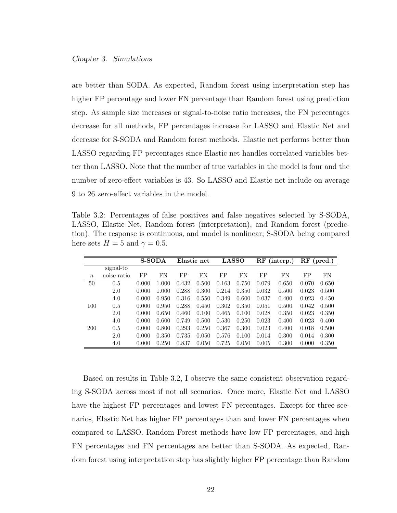are better than SODA. As expected, Random forest using interpretation step has higher FP percentage and lower FN percentage than Random forest using prediction step. As sample size increases or signal-to-noise ratio increases, the FN percentages decrease for all methods, FP percentages increase for LASSO and Elastic Net and decrease for S-SODA and Random forest methods. Elastic net performs better than LASSO regarding FP percentages since Elastic net handles correlated variables better than LASSO. Note that the number of true variables in the model is four and the number of zero-effect variables is 43. So LASSO and Elastic net include on average 9 to 26 zero-effect variables in the model.

Table 3.2: Percentages of false positives and false negatives selected by S-SODA, LASSO, Elastic Net, Random forest (interpretation), and Random forest (prediction). The response is continuous, and model is nonlinear; S-SODA being compared here sets  $H = 5$  and  $\gamma = 0.5$ .

|                  |             |       | <b>S-SODA</b> |       | Elastic net |       | <b>LASSO</b> |       | (interp.) | RF<br>$(\text{pred.})$ |           |
|------------------|-------------|-------|---------------|-------|-------------|-------|--------------|-------|-----------|------------------------|-----------|
|                  | signal-to   |       |               |       |             |       |              |       |           |                        |           |
| $\boldsymbol{n}$ | noise-ratio | FP    | FN            | FP    | FN          | FP    | FN           | FP    | FN        | FP                     | <b>FN</b> |
| 50               | 0.5         | 0.000 | 1.000         | 0.432 | 0.500       | 0.163 | 0.750        | 0.079 | 0.650     | 0.070                  | 0.650     |
|                  | 2.0         | 0.000 | 1.000         | 0.288 | 0.300       | 0.214 | 0.350        | 0.032 | 0.500     | 0.023                  | 0.500     |
|                  | 4.0         | 0.000 | 0.950         | 0.316 | 0.550       | 0.349 | 0.600        | 0.037 | 0.400     | 0.023                  | 0.450     |
| 100              | 0.5         | 0.000 | 0.950         | 0.288 | 0.450       | 0.302 | 0.350        | 0.051 | 0.500     | 0.042                  | 0.500     |
|                  | 2.0         | 0.000 | 0.650         | 0.460 | 0.100       | 0.465 | 0.100        | 0.028 | 0.350     | 0.023                  | 0.350     |
|                  | 4.0         | 0.000 | 0.600         | 0.749 | 0.500       | 0.530 | 0.250        | 0.023 | 0.400     | 0.023                  | 0.400     |
| 200              | 0.5         | 0.000 | 0.800         | 0.293 | 0.250       | 0.367 | 0.300        | 0.023 | 0.400     | 0.018                  | 0.500     |
|                  | 2.0         | 0.000 | 0.350         | 0.735 | 0.050       | 0.576 | 0.100        | 0.014 | 0.300     | 0.014                  | 0.300     |
|                  | 4.0         | 0.000 | 0.250         | 0.837 | 0.050       | 0.725 | 0.050        | 0.005 | 0.300     | 0.000                  | 0.350     |

Based on results in Table 3.2, I observe the same consistent observation regarding S-SODA across most if not all scenarios. Once more, Elastic Net and LASSO have the highest FP percentages and lowest FN percentages. Except for three scenarios, Elastic Net has higher FP percentages than and lower FN percentages when compared to LASSO. Random Forest methods have low FP percentages, and high FN percentages and FN percentages are better than S-SODA. As expected, Random forest using interpretation step has slightly higher FP percentage than Random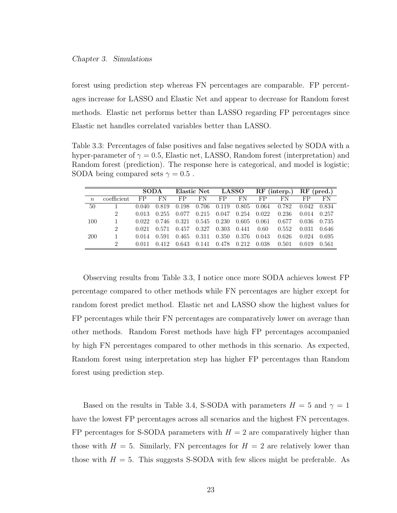forest using prediction step whereas FN percentages are comparable. FP percentages increase for LASSO and Elastic Net and appear to decrease for Random forest methods. Elastic net performs better than LASSO regarding FP percentages since Elastic net handles correlated variables better than LASSO.

Table 3.3: Percentages of false positives and false negatives selected by SODA with a hyper-parameter of  $\gamma = 0.5$ , Elastic net, LASSO, Random forest (interpretation) and Random forest (prediction). The response here is categorical, and model is logistic; SODA being compared sets  $\gamma = 0.5$ .

|                  |                | <b>SODA</b> |       | Elastic Net LASSO |       |       |           | $RF$ (interp.) $RF$ (pred.) |       |       |       |
|------------------|----------------|-------------|-------|-------------------|-------|-------|-----------|-----------------------------|-------|-------|-------|
| $\boldsymbol{n}$ | coefficient    | FP          | FN    | FP                | FN    | FP.   | <b>FN</b> | FP                          | FN    | FP.   | FN    |
| 50               |                | 0.040       | 0.819 | 0.198             | 0.706 | 0.119 | 0.805     | 0.064                       | 0.782 | 0.042 | 0.834 |
|                  | $\overline{2}$ | 0.013       | 0.255 | 0.077             | 0.215 | 0.047 | 0.254     | 0.022                       | 0.236 | 0.014 | 0.257 |
| 100              | -1             | 0.022       | 0.746 | 0.321             | 0.545 | 0.230 | 0.605     | 0.061                       | 0.677 | 0.036 | 0.735 |
|                  | $\overline{2}$ | 0.021       | 0.571 | 0.457             | 0.327 | 0.303 | 0.441     | 0.60                        | 0.552 | 0.031 | 0.646 |
| 200              | $\mathbf{1}$   | 0.014       | 0.591 | 0.465             | 0.311 | 0.350 | 0.376     | 0.043                       | 0.626 | 0.024 | 0.695 |
|                  | 2              | 0.011       | 0.412 | 0.643             | 0.141 | 0.478 | 0.212     | 0.038                       | 0.501 | 0.019 | 0.561 |

Observing results from Table 3.3, I notice once more SODA achieves lowest FP percentage compared to other methods while FN percentages are higher except for random forest predict method. Elastic net and LASSO show the highest values for FP percentages while their FN percentages are comparatively lower on average than other methods. Random Forest methods have high FP percentages accompanied by high FN percentages compared to other methods in this scenario. As expected, Random forest using interpretation step has higher FP percentages than Random forest using prediction step.

Based on the results in Table 3.4, S-SODA with parameters  $H = 5$  and  $\gamma = 1$ have the lowest FP percentages across all scenarios and the highest FN percentages. FP percentages for S-SODA parameters with  $H = 2$  are comparatively higher than those with  $H = 5$ . Similarly, FN percentages for  $H = 2$  are relatively lower than those with  $H = 5$ . This suggests S-SODA with few slices might be preferable. As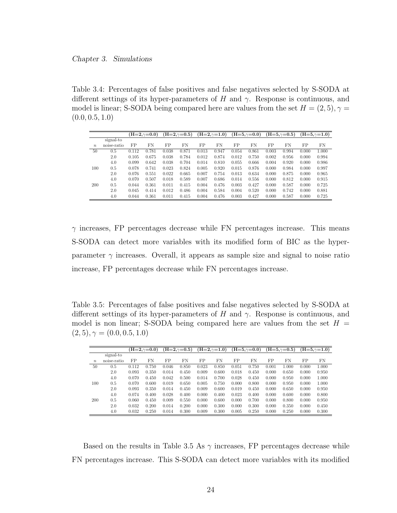Table 3.4: Percentages of false positives and false negatives selected by S-SODA at different settings of its hyper-parameters of  $H$  and  $\gamma$ . Response is continuous, and model is linear; S-SODA being compared here are values from the set  $H = (2, 5)$ ,  $\gamma =$ (0*.*0*,* 0*.*5*,* 1*.*0)

|                  |             |       | $(H=2,\gamma=0.0)$ |       | $(H=2,\gamma=0.5)$ |       | $(H=2,\gamma=1.0)$ |       | $(H=5,\gamma=0.0)$ |       | $(H=5,\gamma=0.5)$ |       | $(H=5,\gamma=1.0)$ |
|------------------|-------------|-------|--------------------|-------|--------------------|-------|--------------------|-------|--------------------|-------|--------------------|-------|--------------------|
|                  | signal-to   |       |                    |       |                    |       |                    |       |                    |       |                    |       |                    |
| $\boldsymbol{n}$ | noise-ratio | FP    | FN                 | FP    | FN                 | FP    | FN                 | FP    | FN                 | FP    | FN                 | FP    | FN                 |
| 50               | 0.5         | 0.112 | 0.781              | 0.038 | 0.871              | 0.013 | 0.947              | 0.054 | 0.861              | 0.003 | 0.994              | 0.000 | 1.000              |
|                  | 2.0         | 0.105 | 0.675              | 0.038 | 0.784              | 0.012 | 0.874              | 0.012 | 0.750              | 0.002 | 0.956              | 0.000 | 0.994              |
|                  | 4.0         | 0.099 | 0.642              | 0.038 | 0.704              | 0.014 | 0.810              | 0.055 | 0.666              | 0.004 | 0.920              | 0.000 | 0.986              |
| 100              | 0.5         | 0.078 | 0.741              | 0.023 | 0.824              | 0.005 | 0.920              | 0.015 | 0.876              | 0.000 | 0.984              | 0.000 | 0.997              |
|                  | 2.0         | 0.076 | 0.551              | 0.022 | 0.665              | 0.007 | 0.754              | 0.013 | 0.634              | 0.000 | 0.875              | 0.000 | 0.965              |
|                  | 4.0         | 0.070 | 0.507              | 0.018 | 0.589              | 0.007 | 0.686              | 0.014 | 0.556              | 0.000 | 0.812              | 0.000 | 0.915              |
| 200              | 0.5         | 0.044 | 0.361              | 0.011 | 0.415              | 0.004 | 0.476              | 0.003 | 0.427              | 0.000 | 0.587              | 0.000 | 0.725              |
|                  | 2.0         | 0.045 | 0.414              | 0.012 | 0.486              | 0.004 | 0.584              | 0.004 | 0.520              | 0.000 | 0.742              | 0.000 | 0.881              |
|                  | 4.0         | 0.044 | 0.361              | 0.011 | 0.415              | 0.004 | 0.476              | 0.003 | 0.427              | 0.000 | 0.587              | 0.000 | 0.725              |

 $\gamma$  increases, FP percentages decrease while FN percentages increase. This means S-SODA can detect more variables with its modified form of BIC as the hyperparameter  $\gamma$  increases. Overall, it appears as sample size and signal to noise ratio increase, FP percentages decrease while FN percentages increase.

Table 3.5: Percentages of false positives and false negatives selected by S-SODA at different settings of its hyper-parameters of  $H$  and  $\gamma$ . Response is continuous, and model is non linear; S-SODA being compared here are values from the set  $H =$  $(2, 5), \gamma = (0.0, 0.5, 1.0)$ 

|                  |             |       | $(H=2,\gamma=0.0)$ |       | $(H=2,\gamma=0.5)$ |       | $(H=2,\gamma=1.0)$ |       | $(H=5,\gamma=0.0)$ |       | $(H=5,\gamma=0.5)$ |       | $\left( H=5,\gamma=1.0\right)$ |
|------------------|-------------|-------|--------------------|-------|--------------------|-------|--------------------|-------|--------------------|-------|--------------------|-------|--------------------------------|
|                  | signal-to   |       |                    |       |                    |       |                    |       |                    |       |                    |       |                                |
| $\boldsymbol{n}$ | noise-ratio | FP    | FN                 | FP    | FN                 | FP    | FN                 | FP    | FN                 | FP    | FN                 | FP    | FN                             |
| 50               | 0.5         | 0.112 | 0.750              | 0.046 | 0.850              | 0.023 | 0.850              | 0.051 | 0.750              | 0.001 | 1.000              | 0.000 | 1.000                          |
|                  | 2.0         | 0.093 | 0.350              | 0.014 | 0.450              | 0.009 | 0.600              | 0.018 | 0.450              | 0.000 | 0.650              | 0.000 | 0.950                          |
|                  | 4.0         | 0.070 | 0.450              | 0.042 | 0.500              | 0.014 | 0.700              | 0.028 | 0.450              | 0.000 | 0.950              | 0.000 | 1.000                          |
| 100              | 0.5         | 0.070 | 0.600              | 0.019 | 0.650              | 0.005 | 0.750              | 0.000 | 0.800              | 0.000 | 0.950              | 0.000 | 1.000                          |
|                  | 2.0         | 0.093 | 0.350              | 0.014 | 0.450              | 0.009 | 0.600              | 0.019 | 0.450              | 0.000 | 0.650              | 0.000 | 0.950                          |
|                  | 4.0         | 0.074 | 0.400              | 0.028 | 0.400              | 0.000 | 0.400              | 0.023 | 0.400              | 0.000 | 0.600              | 0.000 | 0.800                          |
| 200              | 0.5         | 0.060 | 0.450              | 0.009 | 0.550              | 0.000 | 0.600              | 0.000 | 0.700              | 0.000 | 0.800              | 0.000 | 0.950                          |
|                  | 2.0         | 0.032 | 0.200              | 0.014 | 0.200              | 0.000 | 0.300              | 0.000 | 0.300              | 0.000 | 0.350              | 0.000 | 0.450                          |
|                  | 4.0         | 0.032 | 0.250              | 0.014 | 0.300              | 0.009 | 0.300              | 0.005 | 0.250              | 0.000 | 0.250              | 0.000 | 0.300                          |

Based on the results in Table 3.5 As  $\gamma$  increases, FP percentages decrease while FN percentages increase. This S-SODA can detect more variables with its modified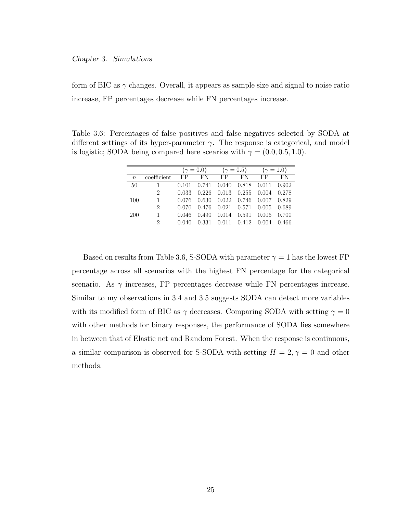form of BIC as  $\gamma$  changes. Overall, it appears as sample size and signal to noise ratio increase, FP percentages decrease while FN percentages increase.

Table 3.6: Percentages of false positives and false negatives selected by SODA at different settings of its hyper-parameter  $\gamma$ . The response is categorical, and model is logistic; SODA being compared here scearios with  $\gamma = (0.0, 0.5, 1.0)$ .

|                  |                | $(\gamma = 0.0)$ |       |       | $(\gamma = 0.5)$        | $(\gamma = 1.0)$ |       |  |
|------------------|----------------|------------------|-------|-------|-------------------------|------------------|-------|--|
| $\boldsymbol{n}$ | coefficient    | FP.              | FN    | FP    | FN                      | FP.              | FN    |  |
| 50               |                | 0.101            | 0.741 | 0.040 | 0.818                   | 0.011            | 0.902 |  |
|                  | $\overline{2}$ | 0.033            | 0.226 |       | $0.013$ $0.255$ $0.004$ |                  | 0.278 |  |
| 100              | 1              | 0.076            | 0.630 | 0.022 | 0.746                   | 0.007 0.829      |       |  |
|                  | $\overline{2}$ | 0.076            | 0.476 |       | $0.021 \quad 0.571$     | $0.005$ 0.689    |       |  |
| 200              | 1              | 0.046            | 0.490 | 0.014 | 0.591                   | 0.006            | 0.700 |  |
|                  | 2              | 0.040            | 0.331 | 0.011 | 0.412                   | 0.004            | 0.466 |  |

Based on results from Table 3.6, S-SODA with parameter  $\gamma = 1$  has the lowest FP percentage across all scenarios with the highest FN percentage for the categorical scenario. As  $\gamma$  increases, FP percentages decrease while FN percentages increase. Similar to my observations in 3.4 and 3.5 suggests SODA can detect more variables with its modified form of BIC as  $\gamma$  decreases. Comparing SODA with setting  $\gamma = 0$ with other methods for binary responses, the performance of SODA lies somewhere in between that of Elastic net and Random Forest. When the response is continuous, a similar comparison is observed for S-SODA with setting  $H = 2, \gamma = 0$  and other methods.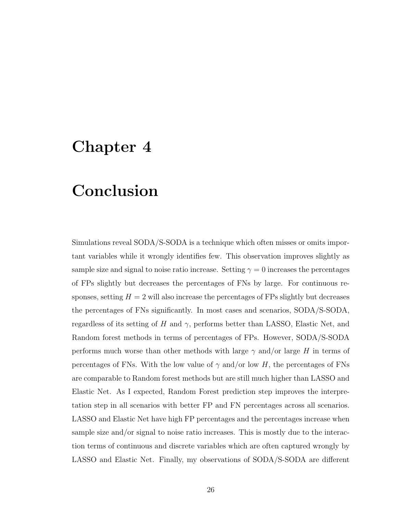## Chapter 4

## Conclusion

Simulations reveal SODA/S-SODA is a technique which often misses or omits important variables while it wrongly identifies few. This observation improves slightly as sample size and signal to noise ratio increase. Setting  $\gamma = 0$  increases the percentages of FPs slightly but decreases the percentages of FNs by large. For continuous responses, setting  $H = 2$  will also increase the percentages of FPs slightly but decreases the percentages of FNs significantly. In most cases and scenarios, SODA/S-SODA, regardless of its setting of *H* and  $\gamma$ , performs better than LASSO, Elastic Net, and Random forest methods in terms of percentages of FPs. However, SODA/S-SODA performs much worse than other methods with large  $\gamma$  and/or large *H* in terms of percentages of FNs. With the low value of  $\gamma$  and/or low *H*, the percentages of FNs are comparable to Random forest methods but are still much higher than LASSO and Elastic Net. As I expected, Random Forest prediction step improves the interpretation step in all scenarios with better FP and FN percentages across all scenarios. LASSO and Elastic Net have high FP percentages and the percentages increase when sample size and/or signal to noise ratio increases. This is mostly due to the interaction terms of continuous and discrete variables which are often captured wrongly by LASSO and Elastic Net. Finally, my observations of SODA/S-SODA are different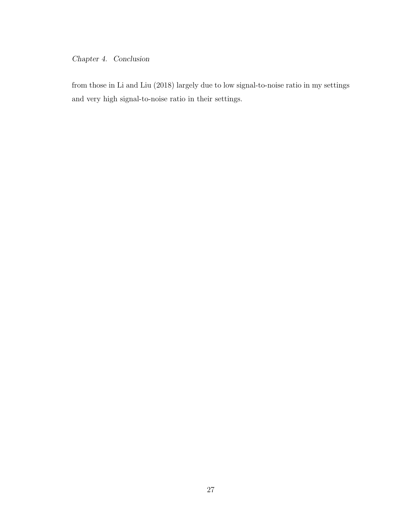## *Chapter 4. Conclusion*

from those in Li and Liu (2018) largely due to low signal-to-noise ratio in my settings and very high signal-to-noise ratio in their settings.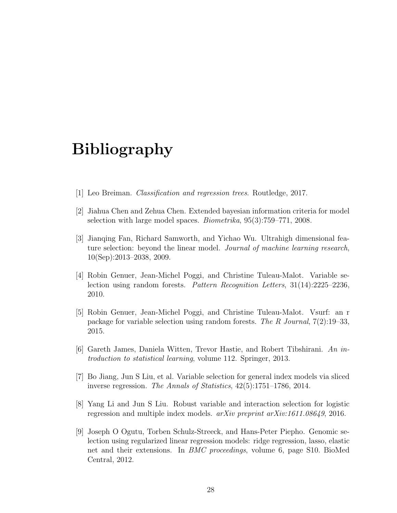## Bibliography

- [1] Leo Breiman. *Classification and regression trees*. Routledge, 2017.
- [2] Jiahua Chen and Zehua Chen. Extended bayesian information criteria for model selection with large model spaces. *Biometrika*, 95(3):759–771, 2008.
- [3] Jianqing Fan, Richard Samworth, and Yichao Wu. Ultrahigh dimensional feature selection: beyond the linear model. *Journal of machine learning research*, 10(Sep):2013–2038, 2009.
- [4] Robin Genuer, Jean-Michel Poggi, and Christine Tuleau-Malot. Variable selection using random forests. *Pattern Recognition Letters*, 31(14):2225–2236, 2010.
- [5] Robin Genuer, Jean-Michel Poggi, and Christine Tuleau-Malot. Vsurf: an r package for variable selection using random forests. *The R Journal*, 7(2):19–33, 2015.
- [6] Gareth James, Daniela Witten, Trevor Hastie, and Robert Tibshirani. *An introduction to statistical learning*, volume 112. Springer, 2013.
- [7] Bo Jiang, Jun S Liu, et al. Variable selection for general index models via sliced inverse regression. *The Annals of Statistics*, 42(5):1751–1786, 2014.
- [8] Yang Li and Jun S Liu. Robust variable and interaction selection for logistic regression and multiple index models. *arXiv preprint arXiv:1611.08649*, 2016.
- [9] Joseph O Ogutu, Torben Schulz-Streeck, and Hans-Peter Piepho. Genomic selection using regularized linear regression models: ridge regression, lasso, elastic net and their extensions. In *BMC proceedings*, volume 6, page S10. BioMed Central, 2012.